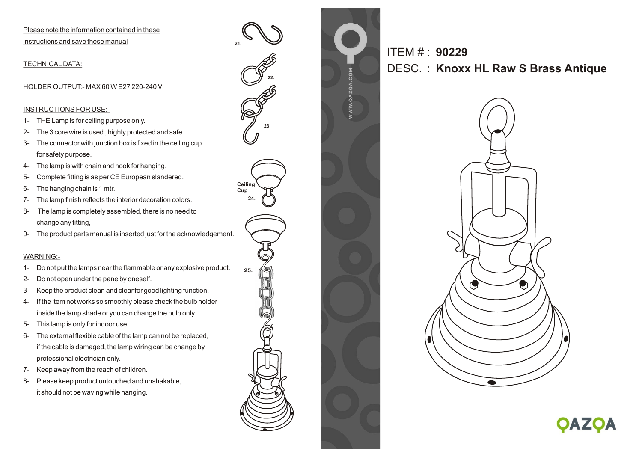Please note the information contained in these instructions and save these manual

TECHNICALDATA:

HOLDER OUTPUT:- MAX 60 W E27 220-240 V

## INSTRUCTIONS FOR USE:-

- 1- THE Lamp is for ceiling purpose only.
- 2- The 3 core wire is used , highly protected and safe.
- 3- The connector with junction box is fixed in the ceiling cup for safety purpose.
- 4- The lamp is with chain and hook for hanging.
- 5- Complete fitting is as per CE European slandered.
- 6- The hanging chain is 1 mtr.
- 7- The lamp finish reflects the interior decoration colors.
- 8- The lamp is completely assembled, there is no need to change any fitting,
- 9- The product parts manual is inserted just for the acknowledgement.

## WARNING:-

- 1- Do not put the lamps near the flammable or any explosive product.
- 2- Do not open under the pane by oneself.
- 3- Keep the product clean and clear for good lighting function.
- 4- If the item not works so smoothly please check the bulb holder inside the lamp shade or you can change the bulb only.
- 5- This lamp is only for indoor use.
- 6- The external flexible cable of the lamp can not be replaced, if the cable is damaged, the lamp wiring can be change by professional electrician only.
- 7- Keep away from the reach of children.
- 8- Please keep product untouched and unshakable, it should not be waving while hanging.



**21.**

**Cup**

ITEM # : **90229** DESC. : **Knoxx HL Raw S Brass Antique**



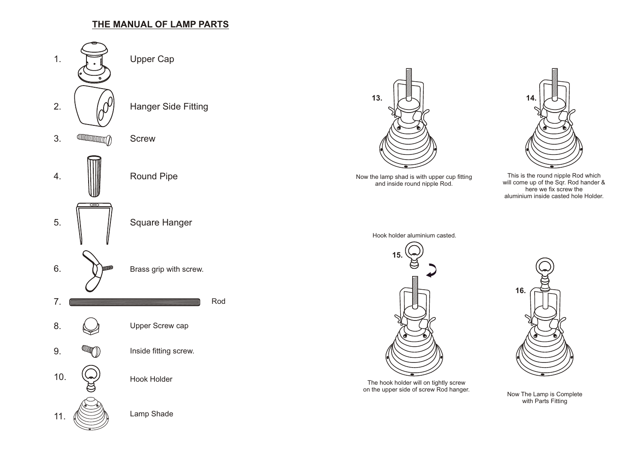## **THE MANUAL OF LAMP PARTS**





This is the round nipple Rod which will come up of the Sqr. Rod hander & here we fix screw the aluminium inside casted hole Holder.



The hook holder will on tightly screw on the upper side of screw Rod hanger.



Now The Lamp is Complete with Parts Fitting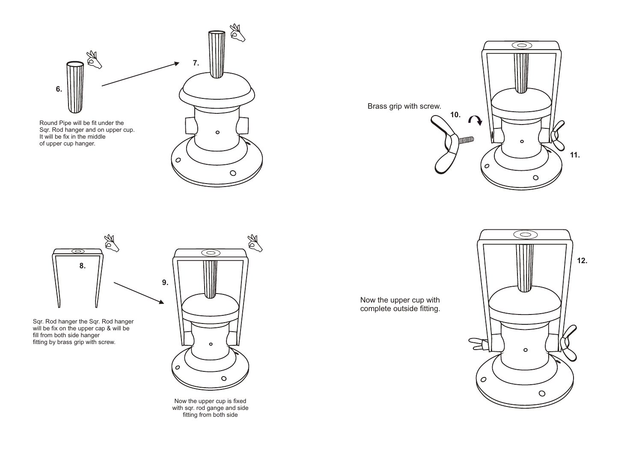





Sqr. Rod hanger the Sqr. Rod hanger will be fix on the upper cap & will be fill from both side hanger fitting by brass grip with screw.



Now the upper cup is fixed with sqr. rod gange and side fitting from both side

Now the upper cup with complete outside fitting.